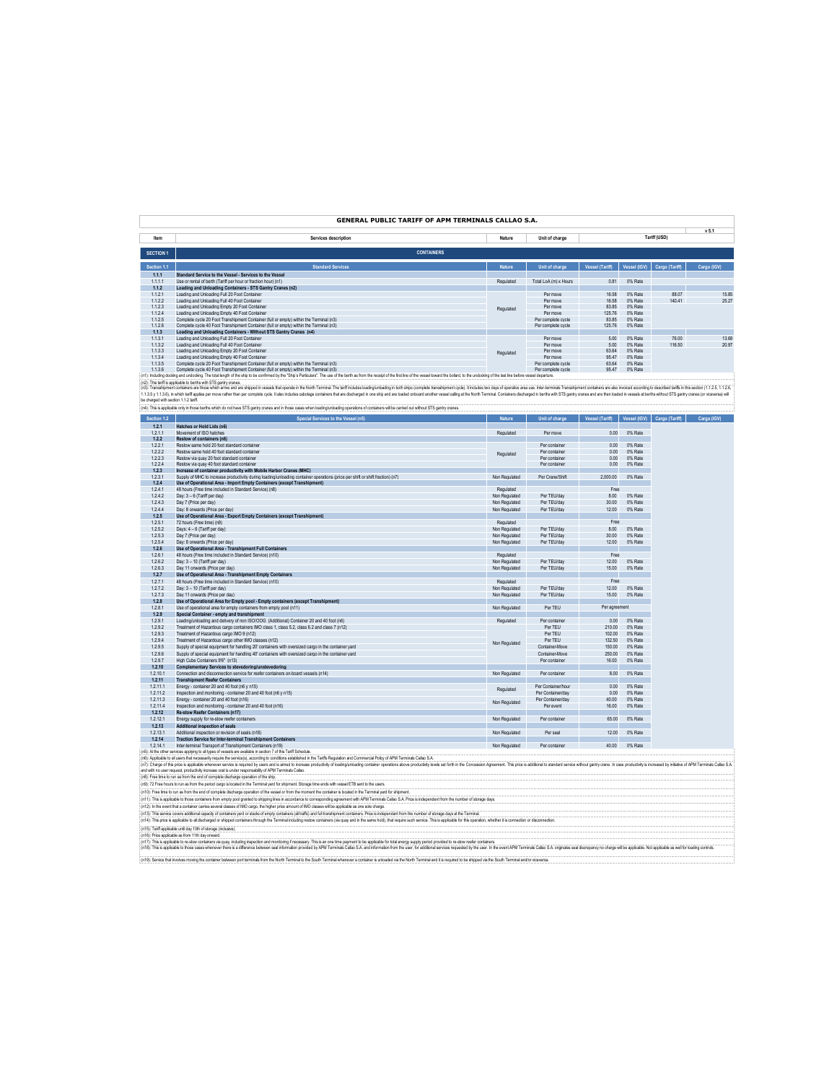# **GENERAL PUBLIC TARIFF OF APM TERMINALS CALLAO S.A.**

**v 5.1**

| Item             | Services description                                                                                                                                                                                                           | Nature        | Unit of charge        |                        | .            |                |             |
|------------------|--------------------------------------------------------------------------------------------------------------------------------------------------------------------------------------------------------------------------------|---------------|-----------------------|------------------------|--------------|----------------|-------------|
| <b>SECTION 1</b> | <b>CONTAINERS</b>                                                                                                                                                                                                              |               |                       |                        |              |                |             |
| Section 1.1      | <b>Standard Services</b>                                                                                                                                                                                                       | <b>Nature</b> | Unit of charge        | <b>Vessel (Tariff)</b> | Vessel (IGV) | Cargo (Tariff) | Cargo (IGV) |
| 1.1.1            | Standard Service to the Vessel - Services to the Vessel                                                                                                                                                                        |               |                       |                        |              |                |             |
| 1.1.1.1          | Use or rental of berth (Tariff per hour or fraction hour) (n1)                                                                                                                                                                 | Regulated     | Total LoA (m) x Hours | 0.81                   | 0% Rate      |                |             |
| 1.1.2            | Loading and Unloading Containers - STS Gantry Cranes (n2)                                                                                                                                                                      |               |                       |                        |              |                |             |
| 1.1.2.1          | Loading and Unloading Full 20 Foot Container                                                                                                                                                                                   |               | Per move              | 16.58                  | 0% Rate      | 88.07          | 15.85       |
| 1.1.2.2          | Loading and Unloading Full 40 Foot Container                                                                                                                                                                                   |               | Per move              | 16.58                  | 0% Rate      | 140.41         | 25.27       |
| 1.1.2.3          | Loading and Unloading Empty 20 Foot Container                                                                                                                                                                                  | Regulated     | Per move              | 83.85                  | 0% Rate      |                |             |
| 1.1.2.4          | Loading and Unloading Empty 40 Foot Container                                                                                                                                                                                  |               | Per move              | 125.76                 | 0% Rate      |                |             |
| 1.1.2.5          | Complete cycle 20 Epot Transhipment Container (full or empty) within the Terminal (n3)                                                                                                                                         |               | Per complete cycle    | 8385                   | 0% Rate      |                |             |
| 1.1.2.6          | Complete cycle 40 Foot Transhipment Container (full or empty) within the Terminal (n3)                                                                                                                                         |               | Per complete cycle    | 125.76                 | 0% Rate      |                |             |
| 1.1.3            | Loading and Unloading Containers - Without STS Gantry Cranes (n4)                                                                                                                                                              |               |                       |                        |              |                |             |
| 1.1.3.1          | Loading and Unloading Full 20 Foot Container                                                                                                                                                                                   |               | Per move              | 5.00                   | 0% Rate      | 76.00          | 13.68       |
| 1.1.3.2          | Loading and Unloading Full 40 Foot Container                                                                                                                                                                                   |               | Per move              | 5.00                   | 0% Rate      | 116.50         | 20.97       |
| 1.1.3.3          | Loading and Unloading Empty 20 Foot Container                                                                                                                                                                                  | Regulated     | Per move              | 63.64                  | 0% Rate      |                |             |
| 1.1.3.4          | Loading and Unloading Empty 40 Foot Container                                                                                                                                                                                  |               | Per move              | 95.47                  | 0% Rate      |                |             |
| 1.1.3.5          | Complete cycle 20 Foot Transhipment Container (full or empty) within the Terminal (n3)                                                                                                                                         |               | Per complete cycle    | 63.64                  | 0% Rate      |                |             |
| 1.1.3.6          | Complete cycle 40 Foot Transhipment Container (full or empty) within the Terminal (n3)                                                                                                                                         |               | Per complete cycle    | 95.47                  | 0% Rate      |                |             |
|                  | (n1): Including docking and undocking. The total length of the ship to be confirmed by the "Ship's Particulars". The use of the berth as from the receipt of the first line of the vessel bward the bolard, to the undocking o |               |                       |                        |              |                |             |

(it). The strip is splate bethe who are there are allow are seen the top the the stand in the transformation of the stand in the standard to the standard in the standard in the standard in the standard in the standard in t

oe usigos was ecutor ... z ann.<br>(n4): This is applicable only in those berths which do not have STS gantry cranes and in those cases when loading/unloading operations of containers will be carried out without STS gantry cr

| Section 1.2 | Special Services to the Vessel (n5)                                                                                                                                                                                            | Nature        | <b>Unit of charge</b> | Vessel (Tariff) | Vessel (IGV) | Cargo (Tariff) | Carga (IGV) |
|-------------|--------------------------------------------------------------------------------------------------------------------------------------------------------------------------------------------------------------------------------|---------------|-----------------------|-----------------|--------------|----------------|-------------|
| 1.2.1       | Hatches or Hold Lids (n6)                                                                                                                                                                                                      |               |                       |                 |              |                |             |
| 1.2.1.1     | Movement of ISO hatches                                                                                                                                                                                                        | Regulated     | Per move              | 0.00            | 0% Rate      |                |             |
| 1.2.2       | Restow of containers (n6)                                                                                                                                                                                                      |               |                       |                 |              |                |             |
| 1.2.2.1     | Restow same hold 20 foot standard container                                                                                                                                                                                    |               | Per container         | 0.00            | 0% Rate      |                |             |
| 1222        | Restow same hold 40 foot standard container                                                                                                                                                                                    | Regulated     | Per container         | 0.00            | 0% Rate      |                |             |
| 1.2.2.3     | Restow via quay 20 foot standard container                                                                                                                                                                                     |               | Per container         | 0.00            | 0% Rate      |                |             |
| 1.2.2.4     | Restow via quay 40 foot standard container                                                                                                                                                                                     |               | Per container         | 0.00            | 0% Rate      |                |             |
| 1.2.3       | Increase of container productivity with Mobile Harbor Cranes (MHC)                                                                                                                                                             |               |                       |                 |              |                |             |
| 1.2.3.1     | Supply of MHC to increase productivity during loading/unloading container operations (price per shift or shift fraction) (n7)                                                                                                  | Non Regulated | Per Crane/Shift       | 2,000.00        | 0% Rate      |                |             |
| 1.2.4       | Use of Operational Area - Import Empty Containers (except Transhipment)                                                                                                                                                        |               |                       |                 |              |                |             |
| 1241        | 48 hours (Free time included in Standard Service) (n8)                                                                                                                                                                         | Regulated     |                       | Free            |              |                |             |
| 1.2.4.2     | Day: 3 - 6 (Tariff per day)                                                                                                                                                                                                    | Non Regulated | Per TEU/day           | 8.00            | 0% Rate      |                |             |
| 1.2.4.3     | Day 7 (Price per day)                                                                                                                                                                                                          | Non Regulated | Per TEU/day           | 30.00           | 0% Rate      |                |             |
| 1.2.4.4     | Day: 8 onwards (Price per day)                                                                                                                                                                                                 | Non Regulated | Per TEU/day           | 12.00           | 0% Rate      |                |             |
| 1.2.5       | Use of Operational Area - Export Empty Containers (except Transhipment)                                                                                                                                                        |               |                       |                 |              |                |             |
| 1.2.5.1     | 72 hours (Free time) (n9)                                                                                                                                                                                                      | Regulated     |                       | Free            |              |                |             |
| 1.2.5.2     | Days: 4 - 6 (Tariff per day)                                                                                                                                                                                                   | Non Regulated | Per TEU/day           | 8.00            | 0% Rate      |                |             |
| 1.2.5.3     | Day 7 (Price per day)                                                                                                                                                                                                          | Non Regulated | Per TEU/day           | 3000            | 0% Rate      |                |             |
| 1.2.5.4     | Day: 8 onwards (Price per day)                                                                                                                                                                                                 | Non Regulated | Per TEU/day           | 12.00           | 0% Rate      |                |             |
| 1.2.6       | Use of Operational Area - Transhipment Full Containers                                                                                                                                                                         |               |                       |                 |              |                |             |
| 1.2.6.1     | 48 hours (Free time included in Standard Service) (n10)                                                                                                                                                                        | Regulated     |                       | Free            |              |                |             |
| 1.2.6.2     | Day: 3 - 10 (Tariff per day)                                                                                                                                                                                                   | Non Regulated | Per TEU/day           | 12.00           | 0% Rate      |                |             |
| 1263        | Day 11 onwards (Price per day)                                                                                                                                                                                                 | Non Regulated | Per TEU/day           | 15.00           | 0% Rate      |                |             |
| 1.2.7       | Use of Operational Area - Transhipment Empty Containers                                                                                                                                                                        |               |                       |                 |              |                |             |
| 1.2.7.1     | 48 hours (Free time included in Standard Service) (n10)                                                                                                                                                                        | Regulated     |                       | Free            |              |                |             |
| 1272        | Day: 3 - 10 (Tariff per day)                                                                                                                                                                                                   | Non Regulated | Per TFI Mday          | 1200            | 0% Rate      |                |             |
| 1.2.7.3     | Day 11 onwards (Price per day)                                                                                                                                                                                                 | Non Regulated | Per TEU/day           | 15.00           | 0% Rate      |                |             |
| 1.2.8       | Use of Operational Area for Empty pool - Empty containers (except Transhipment)                                                                                                                                                |               |                       |                 |              |                |             |
| 1.2.8.1     | Use of operational area for empty containers from empty pool (n11)                                                                                                                                                             | Non Regulated | Per TEU               | Per agreement   |              |                |             |
| 1.2.9       | Special Container - empty and transhipment                                                                                                                                                                                     |               |                       |                 |              |                |             |
| 1291        | Loading/unloading and delivery of non ISO/OOG (Additional) Container 20 and 40 foot (n6)                                                                                                                                       | Regulated     | Per container         | 0.00            | 0% Rate      |                |             |
| 1.2.9.2     | Treatment of Hazardous cargo containers IMO class 1, class 5.2, class 6.2 and class 7 (n12)                                                                                                                                    |               | Per TFU               | 210.00          | 0% Rate      |                |             |
| 1.2.9.3     | Treatment of Hazardous cargo IMO 9 (n12)                                                                                                                                                                                       |               | Per TEU               | 102.00          | 0% Rate      |                |             |
| 1.2.9.4     | Treatment of Hazardous cargo other IMO classes (n12)                                                                                                                                                                           | Non Regulated | Per TEU               | 132.50          | 0% Rate      |                |             |
| 1.2.9.5     | Supply of special equipment for handling 20' containers with oversized cargo in the container vard                                                                                                                             |               | Container-Move        | 150.00          | 0% Rate      |                |             |
| 1.2.9.6     | Supply of special equipment for handling 40' containers with oversized cargo in the container vard                                                                                                                             |               | Container-Move        | 250.00          | 0% Rate      |                |             |
| 1.2.9.7     | High Cube Containers 9'6" (n13)                                                                                                                                                                                                |               | Per container         | 16.00           | 0% Rate      |                |             |
| 1.2.10      | Complementary Services to stevedoring/unstevedoring                                                                                                                                                                            |               |                       |                 |              |                |             |
| 1.2.10.1    | Connection and disconnection service for reefer containers on-board vessels (n14)                                                                                                                                              | Non Regulated | Per container         | 8.00            | 0% Rate      |                |             |
| 1.2.11      | <b>Transhipment Reefer Containers</b>                                                                                                                                                                                          |               |                       |                 |              |                |             |
| 1.2.11.1    | Energy - container 20 and 40 foot (n6 y n15)                                                                                                                                                                                   | Regulated     | Per Container/hour    | 0.00            | 0% Rate      |                |             |
| 1.2.11.2    | Inspection and monitoring - container 20 and 40 foot (n6 y n15)                                                                                                                                                                |               | Per Container/day     | 0.00            | 0% Rate      |                |             |
| 1.2.11.3    | Energy - container 20 and 40 foot (n16)                                                                                                                                                                                        |               | Per Container/day     | 40.00           | 0% Rate      |                |             |
| 1.2.11.4    | Inspection and monitoring - container 20 and 40 foot (n16)                                                                                                                                                                     | Non Regulated | Per event             | 16.00           | 0% Rate      |                |             |
| 1.2.12      | Re-stow Reefer Containers (n17)                                                                                                                                                                                                |               |                       |                 |              |                |             |
| 1.2.12.1    | Energy supply for re-stow reefer containers                                                                                                                                                                                    | Non Regulated | Per container         | 65.00           | 0% Rate      |                |             |
| 1.2.13      | Additional inspection of seals                                                                                                                                                                                                 |               |                       |                 |              |                |             |
| 1.2.13.1    | Additional inspection or revision of seals (n18)                                                                                                                                                                               | Non Regulated | Per seal              | 12.00           | 0% Rate      |                |             |
| 1.2.14      | <b>Traction Service for Inter-terminal Transhipment Containers</b>                                                                                                                                                             |               |                       |                 |              |                |             |
| 1.2.14.1    | Inter-terminal Transport of Transhipment Containers (n19)                                                                                                                                                                      | Non Regulated | Per container         | 40.00           | 0% Rate      |                |             |
|             | (n5): Al the other services applying to all types of vessels are available in section 7 of this Tariff Schedule.                                                                                                               |               |                       |                 |              |                |             |
|             | (n6): Applicable to all users that necessarily require the service(s), according to conditions established in the Tariffs Requisition and Commercial Policy of APM Terminals Callao S.A.                                       |               |                       |                 |              |                |             |
|             | (n7): Charge of this price is applicable whenever service is required by users and is aimed to increase productivity of loading/unloading container operations above productivity levels set forth in the Concession Agreement |               |                       |                 |              |                |             |
|             | and with no user request, productivity increase cost is under responsability of APM Terminals Callao.                                                                                                                          |               |                       |                 |              |                |             |
|             | (n8): Free time to run as from the end of complete discharge operation of the ship                                                                                                                                             |               |                       |                 |              |                |             |

(n9): 72 Free hours to run as from the period cargo is located in the Terminal yard for shipment. Storage time ends with vessel ETB sent to the users.<br>(n10): Free time to run as from the end of complete discharge operation

(n11): This is applicable to those containers from empty pool granted to shipping lines in accordance to corresponding agreement with APM Terminals Callao S.A. Price is independent from the number of storage days.<br>(n12): I

(n13): This service covers additional capacity of containers and the endemy containers (all tratificand full transingent containers. Price is independent from the rumber of strange deys at the Terminal including the same h

(n18): This is applicable to those cases whenever there is a difference between seal information provided by APM Terminals Calao S.A. and information from the user, for additional services requested by the user. In the eve (n15): Tarifiapokable until day 10th of storage (inclusive).<br>(n16): Price agalcable as forn 11th day omasd.<br>(n17): This is applable to re-stow containers via quay, including trade and monotoring of measures in the second m .<br>(n19): Service that involves moving the container between port terminals from the North Terminal to the South Terminal whenever a container is unloaded via the North Terminal and it is required to be shipped via the Sout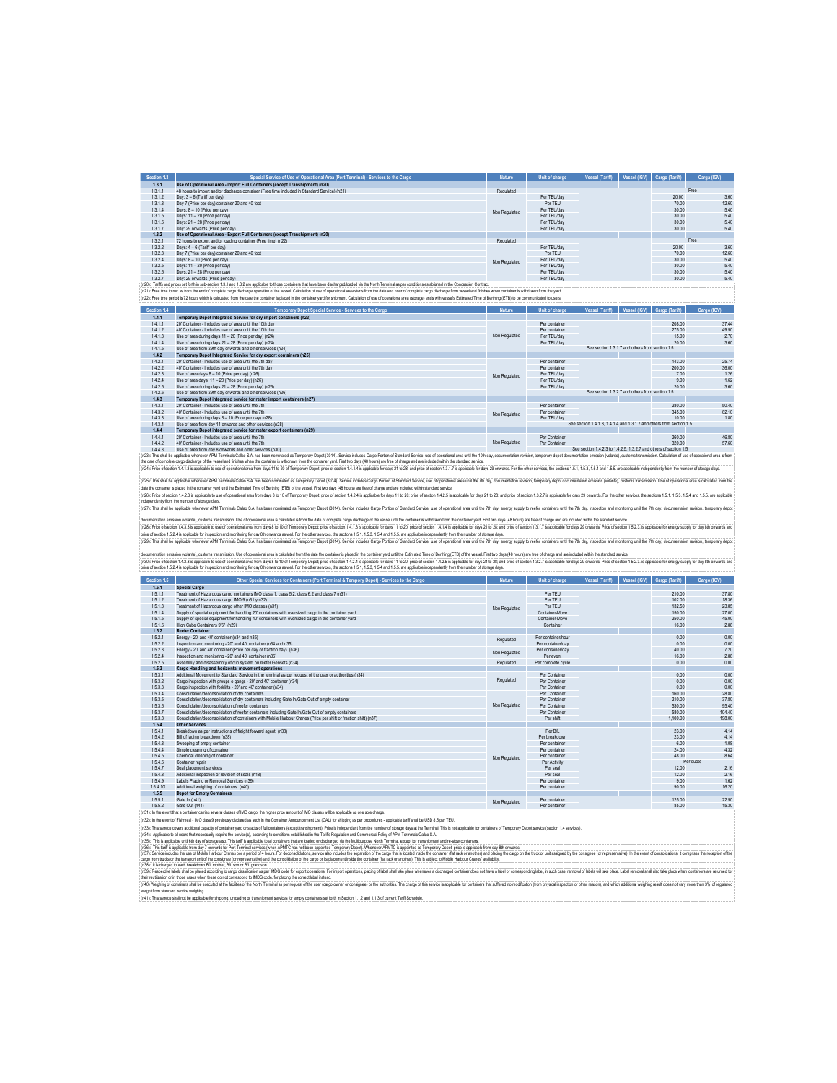| Section 1.3 | Special Service of Use of Operational Area (Port Terminal) - Services to the Cargo                                                                                                                                             | Nature        | Unit of charge | Vessel (Tariff) | Vessel (IGV) | Cargo (Tariff) | Carga (IGV) |       |
|-------------|--------------------------------------------------------------------------------------------------------------------------------------------------------------------------------------------------------------------------------|---------------|----------------|-----------------|--------------|----------------|-------------|-------|
| 1.3.1       | Use of Operational Area - Import Full Containers (except Transhipment) (n20)                                                                                                                                                   |               |                |                 |              |                |             |       |
| 1.3.1.1     | 48 hours to import and/or discharge container (Free time included in Standard Service) (n21)                                                                                                                                   | Regulated     |                |                 |              |                | Free        |       |
| 1.3.1.2     | Day: 3 - 6 (Tariff per day)                                                                                                                                                                                                    |               | Per TEU/day    |                 |              | 20.00          |             | 3.60  |
| 1.3.1.3     | Day 7 (Price per day) container 20 and 40 foot                                                                                                                                                                                 |               | Por TEU        |                 |              | 70.00          |             | 12.60 |
| 1.3.1.4     | Days: 8 - 10 (Price per day)                                                                                                                                                                                                   | Non Regulated | Per TEU/day    |                 |              | 30.00          |             | 5.40  |
| 1.3.1.5     | Days: 11 - 20 (Price per day)                                                                                                                                                                                                  |               | Per TEU/day    |                 |              | 30.00          |             | 5.40  |
| 1.3.1.6     | Days: 21 - 28 (Price per day)                                                                                                                                                                                                  |               | Per TEU/day    |                 |              | 30.00          |             | 5.40  |
| 1.3.1.7     | Day: 29 onwards (Price per day)                                                                                                                                                                                                |               | Per TEU/day    |                 |              | 30.00          |             | 5.40  |
| 1.3.2       | Use of Operational Area - Export Full Containers (except Transhipment) (n20)                                                                                                                                                   |               |                |                 |              |                |             |       |
| 1.3.2.1     | 72 hours to export and/or loading container (Free time) (n22).                                                                                                                                                                 | Regulated     |                |                 |              |                | Free        |       |
| 1.3.2.2     | Days: 4 - 6 (Tariff per day)                                                                                                                                                                                                   |               | Per TEU/day    |                 |              | 20.00          |             | 3.60  |
| 1.3.2.3     | Day 7 (Price per day) container 20 and 40 foot                                                                                                                                                                                 |               | Por TEU        |                 |              | 70.00          |             | 12.60 |
| 1.3.2.4     | Days: 8 - 10 (Price per day)                                                                                                                                                                                                   | Non Regulated | Per TEU/day    |                 |              | 30.00          |             | 5.40  |
| 1.3.2.5     | Days: 11 - 20 (Price per day)                                                                                                                                                                                                  |               | Per TEU/day    |                 |              | 30.00          |             | 5.40  |
| 1.3.2.6     | Days: 21 - 28 (Price per day)                                                                                                                                                                                                  |               | Per TEU/day    |                 |              | 30.00          |             | 5.40  |
| 1327        | Day: 29 onwards (Price per day)                                                                                                                                                                                                |               | Per TFI I/day  |                 |              | 30.00          |             | 5.40  |
|             | (n20): Tarffs and prices set forth in sub-section 1.3.1 and 1.3.2 are applicable to those containers that have been discharged/loaded via the North Terminal as per conditions established in the Concession Contract.         |               |                |                 |              |                |             |       |
|             | : (n21): Free time to run as from the end of complete cargo discharge operation of the vessel. Calculation of use of coerational area starts from the date and hour of complete cargo discharge from vessel and finishes when  |               |                |                 |              |                |             |       |
|             | (n22): Free time period is 72 hours which is calculated from the date the container is placed in the container vard for shipment. Calculation of use of operational area (storage) ends with vessel's Estimated Time of Berthi |               |                |                 |              |                |             |       |

3-contract Conduct and a material frequency of the Conduct of the Conduct of the Conduct of Conduct of the Conduct of the Conduct of the Conduct of the Conduct of the Conduct of the Conduct of the Conduct of the Conduct o Non Regulated See section 1.3.1.7 and others from section 1.5 Non Regulated See section 1.3.2.7 and others from section 1.5 الاتحادية<br>10.00 Per TEU/day<br>See section 1.4.1.3, 1.4.1.4 and 1.3.1.7 and others from section 1.5

14/4/Container-Indudes use of area until the 7h<br>1443 Monday and the section of the Samuel School of the Samuel School of the Samuel School of the Samuel School<br>(23) The state explosive and the section 15 of the section 15

(v3): Pice dector 14.2 is aplicable use doperatorial ass for thorizon papaches of the company beacher 14.4 is aplicable for applicable for applicable for the 2012 and the company constant in the company of the company of t .<br>(25): This shall be applicable whenver APM Terminal Callax S.A. has been nominated as Temporary Depot (2014). Service includios Cargo Portion of Staterd Service, ass of operational area until the 7th day, documentation e date the container is placed in the container yard until the Estimated Time of Berthing (ETB) of the vessel. First two days (48 hours) are free of charge and are included within standard service.

docmentation emission (value), custom transmission. Use of operational seas is dealing and a complete any distange of the reseal unit the container is white an form the container year field to have a search of the containe 29; This shall be applicible whenever APM Terminals Callao S.A. has been nominated as Temporary Depot (3014). Service includes Cargo Portion of Standard Service, use of operational area until the 7th day, energy apply to r

sion (visitable) and one transmission Use of negotiation and a security and from the data the container is place in the container vary until the Fallmated Time of Berthing (FTR) of the usesel First two days disk hours) are (r30) fries destan 4.2 3 asplable bus dopendoal sea for dimental prour playstra destant 1.2 is applable for dis 20; pror destant 1.3,7 is and active and the search of the search of the search of the search of the search of

| Section 1.5 | Other Special Services for Containers (Port Terminal & Tempory Depot) - Services to the Cargo                                                                                                 | Nature        | Unit of charge     | Vessel (Tariff) | Vessel (IGV) | Cargo (Tariff) | Cargo (IGV) |
|-------------|-----------------------------------------------------------------------------------------------------------------------------------------------------------------------------------------------|---------------|--------------------|-----------------|--------------|----------------|-------------|
| 1.5.1       | Special Cargo                                                                                                                                                                                 |               |                    |                 |              |                |             |
| 1.5.1.1     | Treatment of Hazardous cargo containers IMO class 1, class 5.2, class 6.2 and class 7 (n31)                                                                                                   |               | Per TFU            |                 |              | 210.00         | 37.80       |
| 1.5.1.2     | Treatment of Hazardous cargo IMO 9 (n31 v n32)                                                                                                                                                |               | Per TEU            |                 |              | 102.00         | 18.36       |
| 1.5.1.3     | Treatment of Hazardous caroo other IMO classes (n31)                                                                                                                                          | Non Regulated | Per TFU            |                 |              | 132.50         | 23.85       |
| 1.5.1.4     | Supply of special equipment for handling 20' containers with oversized cargo in the container vard                                                                                            |               | Container-Move     |                 |              | 150.00         | 27.00       |
| 1.5.1.5     | Supply of special equipment for handling 40' containers with oversized cargo in the container vard                                                                                            |               | Container-Move     |                 |              | 250.00         | 45.00       |
| 1.5.1.6     | High Cube Containers 9'6" (n29)                                                                                                                                                               |               | Container          |                 |              | 16.00          | 2.88        |
| 1.5.2       | <b>Reefer Container</b>                                                                                                                                                                       |               |                    |                 |              |                |             |
| 1.5.2.1     | Energy - 20' and 40' container (n34 and n35)                                                                                                                                                  | Regulated     | Per container/hour |                 |              | 0.00           | 0.00        |
| 1.5.2.2     | Inspection and monitoring - 20' and 40' container (n34 and n35)                                                                                                                               |               | Per container/day  |                 |              | 0.00           | 0.00        |
| 1.5.2.3     | Energy - 20' and 40' container (Price per day or fraction day) (n36)                                                                                                                          | Non Regulated | Per container/day  |                 |              | 40.00          | 7.20        |
| 1.5.2.4     | Inspection and monitoring - 20' and 40' container (n36)                                                                                                                                       |               | Per event          |                 |              | 16.00          | 2.88        |
| 1525        | Assembly and disassembly of clip system on reefer Gensets (n34)                                                                                                                               | Regulated     | Per complete cycle |                 |              | 0.00           | 0.00        |
| 1.5.3       | Cargo Handling and horizontal movement operations                                                                                                                                             |               |                    |                 |              |                |             |
| 1.5.3.1     | Additional Movement to Standard Service in the terminal as per request of the user or authorities (n34)                                                                                       |               | Per Container      |                 |              | 0.00           | 0.00        |
| 1.5.3.2     | Cargo inspection with groups o gangs - 20' and 40' container (n34).                                                                                                                           | Regulated     | Per Container      |                 |              | 0.00           | 0.00        |
| 1.5.3.3     | Cargo inspection with forklifts - 20' and 40' container (n34)                                                                                                                                 |               | Per Container      |                 |              | 0.00           | 0.00        |
| 1.5.3.4     | Consolidation/deconsolidation of dry containers                                                                                                                                               |               | Per Container      |                 |              | 160.00         | 28.80       |
| 1.5.3.5     | Consolidation/deconsolidation of dry containers including Gate In/Gate Out of empty container                                                                                                 |               | Per Container      |                 |              | 210.00         | 37.80       |
| 1.5.3.6     | Consolidation/deconsolidation of reefer containers                                                                                                                                            | Non Regulated | Per Container      |                 |              | 530.00         | 95.40       |
| 1.5.3.7     | Consolidation/deconsolidation of reefer containers including Gate In/Gate Out of empty containers                                                                                             |               | Per Container      |                 |              | 580.00         | 104.40      |
| 1.5.3.8     | Consolidation/deconsolidation of containers with Mobile Harbour Cranes (Price per shift or fraction shift) (n37)                                                                              |               | Per shift          |                 |              | 1.100.00       | 198.00      |
| 1.5.4       | Other Services                                                                                                                                                                                |               |                    |                 |              |                |             |
| 1.5.4.1     | Breakdown as per instructions of freight forward agent (n38)                                                                                                                                  |               | Per R/I            |                 |              | 23.00          | 414         |
| 1.5.4.2     | Bill of lading breakdown (n38)                                                                                                                                                                |               | Per breakdown      |                 |              | 23.00          | 4.14        |
| 1.5.4.3     | Sweeping of empty container                                                                                                                                                                   |               | Per container      |                 |              | 6.00           | 1.08        |
| 1.5.4.4     | Simple cleaning of container                                                                                                                                                                  |               | Per container      |                 |              | 24.00          | 4.32        |
| 1.5.4.5     | Chemical cleaning of container                                                                                                                                                                | Non Regulated | Per container      |                 |              | 48.00          | 8.64        |
| 1.5.4.6     | Container repair                                                                                                                                                                              |               | Per Activity       |                 |              |                | Per quote   |
| 1.5.4.7     | Seal placement services                                                                                                                                                                       |               | Per seal           |                 |              | 12.00          | 2.16        |
| 1.5.4.8     | Additional inspection or revision of seals (n18)                                                                                                                                              |               | Per seal           |                 |              | 1200           | 2.16        |
| 1.5.4.9     | Labels Placing or Removal Services (n39)                                                                                                                                                      |               | Per container      |                 |              | 9.00           | 1.62        |
| 1.5.4.10    | Additional weighing of containers (n40)                                                                                                                                                       |               | Per container      |                 |              | 90.00          | 16.20       |
| 1.5.5       | <b>Depot for Empty Containers</b>                                                                                                                                                             |               |                    |                 |              |                |             |
| 1.5.5.1     | Gate In (n41)                                                                                                                                                                                 | Non Regulated | Per container      |                 |              | 125.00         | 22.50       |
| 1.5.5.2     | Gate Out (n41)                                                                                                                                                                                |               | Per container      |                 |              | 85.00          | 15.30       |
|             | (n31): In the event that a container carries several classes of IMO cargo, the higher price amount of IMO classes will be applicable as one sole charge.                                      |               |                    |                 |              |                |             |
|             | (n37): In the event of Fishmed , IMO doss Q nreviously dedated as such in the Container Announcement List (CAL) for shinning as ner procedures , anglicable tariff shall he LISD & 5 ner TFLL |               |                    |                 |              |                |             |

(n32): In the eent of Fahmed - IMO dass 9 previously dedared as such in the Container Announcement List (CAL) for shipping as per procedures - applicable tarif shall be USD 8.5 per TEU.<br>(n33): This service covers additiona

(05). ply destraines and measure of the property in the mail of the main of the main of the main of controlled the family property and the main of the family and the main of the family and the main of the main of the main

(105): Respective to the black about the state of the content MD code for export positions for mort operations, the production of the state of the state of the state of content of the state of the state of the state of the weight from standard service weighing.<br>(n41): This service shall not be applicable for shipping, unloading or transhipment services for empty containers set forth in Section 1.1.2 and 1.1.3 of current Tariff Schedule.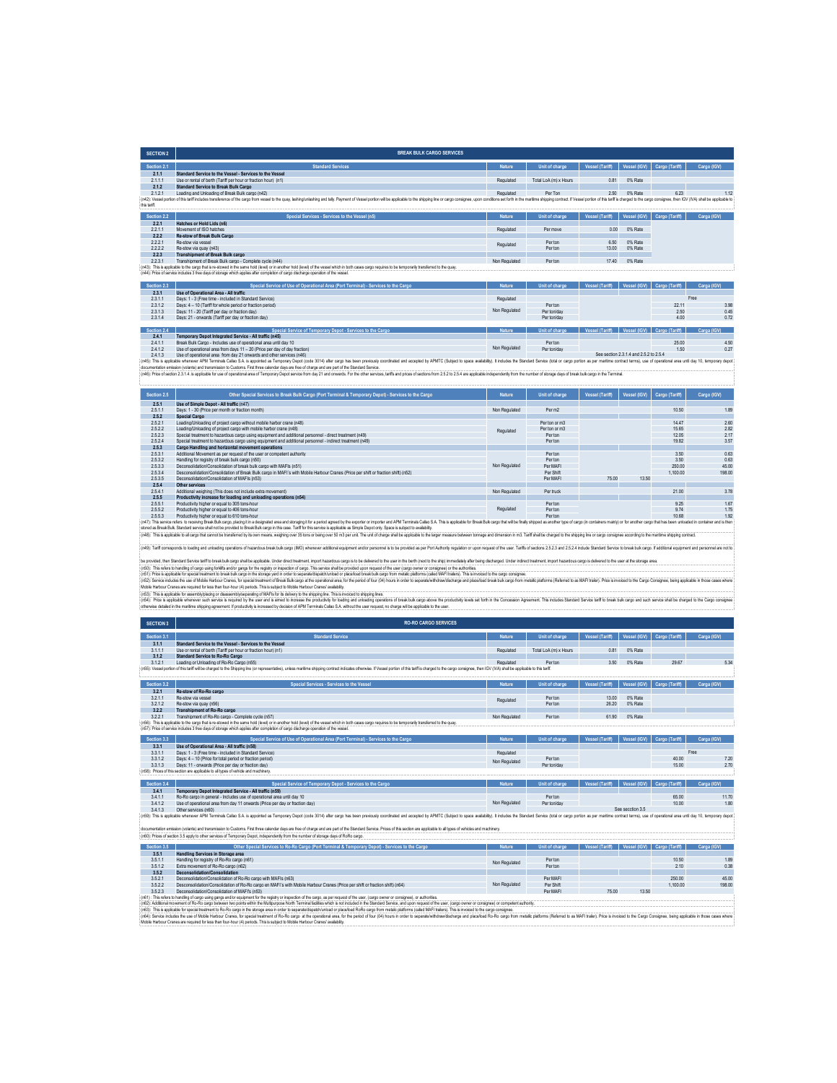| <b>SECTION 2</b> | <b>BREAK BULK CARGO SERVICES</b>                                                                                                                                                                                                                                                                                                                 |               |                       |                 |              |                |             |
|------------------|--------------------------------------------------------------------------------------------------------------------------------------------------------------------------------------------------------------------------------------------------------------------------------------------------------------------------------------------------|---------------|-----------------------|-----------------|--------------|----------------|-------------|
| Section 2.1      | <b>Standard Services</b>                                                                                                                                                                                                                                                                                                                         | Nature        | Unit of charge        | Vessel (Tariff) | Vessel (IGV) | Cargo (Tariff) | Cargo (IGV) |
| 2.1.1            | Standard Service to the Vessel - Services to the Vessel                                                                                                                                                                                                                                                                                          |               |                       |                 |              |                |             |
| 2.1.1.1          | Use or rental of berth (Tariff per hour or fraction hour) (n1)                                                                                                                                                                                                                                                                                   | Regulated     | Total LoA (m) x Hours | 0.81            | 0% Rate      |                |             |
| 2.1.2            | <b>Standard Service to Break Bulk Cargo</b>                                                                                                                                                                                                                                                                                                      |               |                       |                 |              |                |             |
| 2121             | Loading and Unloading of Break Bulk cargo (n42)                                                                                                                                                                                                                                                                                                  | Regulated     | Per Ton               | 2.50            | 0% Rate      | 6.23           | 1 1 2       |
|                  | (n42): Vessel portion of this tariff includes transference of the caroo from vessel to the quav. lashino/unlashino and tally. Payment of Vessel portion will be apploable to the shipping line or caroo consignee, upon condit                                                                                                                   |               |                       |                 |              |                |             |
| this tariff.     |                                                                                                                                                                                                                                                                                                                                                  |               |                       |                 |              |                |             |
|                  |                                                                                                                                                                                                                                                                                                                                                  |               |                       |                 |              |                |             |
| Section 2.2      | Special Services - Services to the Vessel (n5)                                                                                                                                                                                                                                                                                                   | Nature        | Unit of charge        | Vessel (Tariff) | Vessel (IGV) | Cargo (Tariff) | Carga (IGV) |
| 2.2.1            | Hatches or Hold Lids (n6)                                                                                                                                                                                                                                                                                                                        |               |                       |                 |              |                |             |
| 2.2.1.1          | Movement of ISO hatches                                                                                                                                                                                                                                                                                                                          | Regulated     | Per move              | 0.00            | 0% Rate      |                |             |
| 222              | Re-stow of Break Bulk Cargo                                                                                                                                                                                                                                                                                                                      |               |                       |                 |              |                |             |
| 2.2.2.1          | Re-stow via vessel                                                                                                                                                                                                                                                                                                                               |               | Per ton               | 6.50            | 0% Rate      |                |             |
| 2.2.2.2          | Re-stow via quay (n43)                                                                                                                                                                                                                                                                                                                           | Regulated     | Per ton               | 13.00           | 0% Rate      |                |             |
| 2.2.3            | Transhipment of Break Bulk cargo                                                                                                                                                                                                                                                                                                                 |               |                       |                 |              |                |             |
| 2.2.3.1          | Transhipment of Break Bulk cargo - Complete cycle (n44)                                                                                                                                                                                                                                                                                          | Non Regulated | Per ton               | 17.40           | 0% Rate      |                |             |
|                  | : (n43): This is applicable to the cargo that is re-stowed in the same hold (level) or in another hold (level) of the yessel which in both cases cargo requires to be temporarily transferred to the quay.<br>(n44): Price of service includes 3 free days of storage which applies after completion of cargo discharge operation of the vessel. |               |                       |                 |              |                |             |

| Section 2.3 | Special Service of Use of Operational Area (Port Terminal) - Services to the Cargo | <b>Nature</b> | Unit of charge | <b>Vessel (Tariff)</b> | Vessel (IGV)                           | Cargo (Tariff) | Carga (IGV) |
|-------------|------------------------------------------------------------------------------------|---------------|----------------|------------------------|----------------------------------------|----------------|-------------|
| 2.3.1       | Use of Operational Area - All traffic                                              |               |                |                        |                                        |                |             |
| 2.3.1.1     | Days: 1 - 3 (Free time - included in Standard Service)                             | Regulated     |                |                        |                                        |                | Free        |
| 2.3.1.2     | Days: 4 - 10 (Tariff for whole period or fraction period)                          |               | Per ton        |                        |                                        | 22.11          | 3.98        |
| 2.3.1.3     | Days: 11 - 20 (Tariff per day or fraction day)                                     | Non Regulated | Per ton/day    |                        |                                        | 2.50           | 0.45        |
| 2.3.1.4     | Days: 21 - onwards (Tariff per day or fraction day)                                |               | Per ton/day    |                        |                                        | 4.00           | 0.72        |
|             |                                                                                    |               |                |                        |                                        |                |             |
| Section 2.4 | Special Service of Temporary Depot - Services to the Cargo                         | <b>Nature</b> | Unit of charge | Vessel (Tariff)        | <b>AGVI</b><br>Vessel (                | Cargo (Tariff) | Carga (IGV) |
| 2.4.1       | Temporary Depot Integrated Service - All traffic (n45)                             |               |                |                        |                                        |                |             |
| 2.4.1.1     | Break Bulk Cargo - Includes use of operational area until day 10                   |               | Perton         |                        |                                        | 25.00          | 4.50        |
| 2.4.1.2     | Use of operational area from days 11 - 20 (Price per day of day fraction)          | Non Regulated | Per ton/day    |                        |                                        | 1.50           | 0.27        |
| 2.4.1.3     | Use of operational area from day 21 onwards and other services (n46)               |               |                |                        | See section 2.3.1.4 and 2.5.2 to 2.5.4 |                |             |

2.4.1.3 Use of operational area form day 21 owerds and other services (n46) alter cargo has been previous) condities and accepted ty AMIC (Subert to pace assisting). It includes the Case of Standard Service (ndi or cargo c

| Section 2.5 | Other Special Services to Break Bulk Cargo (Port Terminal & Temporary Depot) - Services to the Cargo                                                                                                                           | Nature        | Unit of charge     | Vessel (Tariff) | Vessel (IGV) | Cargo (Tariff) | Cargo (IGV) |
|-------------|--------------------------------------------------------------------------------------------------------------------------------------------------------------------------------------------------------------------------------|---------------|--------------------|-----------------|--------------|----------------|-------------|
| 2.5.1       | Use of Simple Depot - All traffic (n47)                                                                                                                                                                                        |               |                    |                 |              |                |             |
| 2511        | Days: 1 - 30 (Price per month or fraction month).                                                                                                                                                                              | Non Regulated | Per m <sub>2</sub> |                 |              | 10.50          | 1.89        |
| 2.5.2       | <b>Special Cargo</b>                                                                                                                                                                                                           |               |                    |                 |              |                |             |
| 2.5.2.1     | Loading/Unloading of project cargo without mobile barbor crane (n48)                                                                                                                                                           |               | Per ton or m3      |                 |              | 14 47          | 2.60        |
| 2.5.2.2     | Loading/Unloading of project cargo with mobile harbor crane (n48)                                                                                                                                                              | Regulated     | Per ton or m3      |                 |              | 15.65          | 2.82        |
| 2.5.2.3     | Special treatment to hazardous cargo using equipment and additional personnel - direct treatment (n49)                                                                                                                         |               | Perton             |                 |              | 12.05          | 217         |
| 2.5.2.4     | Special treatment to hazardous cargo using equipment and additional personnel - indirect treatment (n49)                                                                                                                       |               | Per ton            |                 |              | 19.82          | 3.57        |
| 2.5.3       | Cargo Handling and horizontal movement operations                                                                                                                                                                              |               |                    |                 |              |                |             |
| 2.5.3.1     | Additional Movement as per request of the user or competent authority                                                                                                                                                          |               | Per ton            |                 |              | 3.50           | 0.63        |
| 2.5.3.2     | Handling for registry of break bulk cargo (n50)                                                                                                                                                                                |               | Perton             |                 |              | 3.50           | 0.63        |
| 2.5.3.3     | Deconsolidation/Consolidation of break bulk cargo with MAFIs (n51)                                                                                                                                                             | Non Regulated | Per MAFI           |                 |              | 250.00         | 45.00       |
| 2.5.3.4     | Desconsolidation/Consolidation of Break Bulk cargo in MAFI's with Mobile Harbour Cranes (Price per shift or fraction shift) (n52)                                                                                              |               | Per Shift          |                 |              | 1.100.00       | 198.00      |
| 2.5.3.5     | Deconsolidation/Consolidation of MAFIs (n53)                                                                                                                                                                                   |               | Per MAFI           | 75.00           | 13.50        |                |             |
| 2.5.4       | Other services                                                                                                                                                                                                                 |               |                    |                 |              |                |             |
| 2.5.4.1     | Additional weighing (This does not include extra movement)                                                                                                                                                                     | Non Regulated | Per truck          |                 |              | 21.00          | 3.78        |
| 2.5.5       | Productivity increase for loading and unloading operations (n54)                                                                                                                                                               |               |                    |                 |              |                |             |
| 2.5.5.1     | Productivity higher or equal to 305 tons-hour                                                                                                                                                                                  |               | Perton             |                 |              | 9.25           | 1.67        |
| 2.5.5.2     | Productivity higher or equal to 406 tons-hour                                                                                                                                                                                  | Regulated     | Per ton            |                 |              | 9.74           | 1.75        |
| 2.5.5.3     | Productivity higher or equal to 610 tons-hour                                                                                                                                                                                  |               | Perton             |                 |              | 1068           | 1.92        |
|             | (n47): This service refers to receiving Break Bulk cargo, placing it in a designated area and storaging it for a period agreed by the exporter or importer and APM Terminals Callao S.A. This is applicable for Break Bulk car |               |                    |                 |              |                |             |
|             | stored as Break Bulk. Standard service shall not be provided to Break Bulk cargo in this case. Tariff for this service is applicable as Simple Depot only. Space is subject to availability.                                   |               |                    |                 |              |                |             |
|             | (n48): This is applicable to all cargo that cannot be transferred by its own means, weighing over 35 tons or being over 50 m3 per unt. The unt of charge shall be applicable to the larger measure between tonnage and dimensi |               |                    |                 |              |                |             |

(n49): Taff corresponds to bading and unloading operations of hazardous break loading (MA)) whenever additional explorent and/or personnel is to be provided as per Port Authority regulation or poon request of the use: Tari

be provided the Studients and the security and a spleak Universidable Universidation of the Microsofth and the Studient Internal internal internal internal internal internal internal internal internal internal internal int

| <b>SECTION 3</b> | <b>RO-RO CARGO SERVICES</b>                                                                                                                                                                                                   |               |                       |                 |              |                |             |
|------------------|-------------------------------------------------------------------------------------------------------------------------------------------------------------------------------------------------------------------------------|---------------|-----------------------|-----------------|--------------|----------------|-------------|
| Section 3.1      | <b>Standard Service</b>                                                                                                                                                                                                       | Nature        | Unit of charge        | Vessel (Tariff) | Vessel (IGV) | Cargo (Tariff) | Carga (IGV) |
| 3.1.1            | Standard Service to the Vessel - Services to the Vessel                                                                                                                                                                       |               |                       |                 |              |                |             |
| 3.1.1.1          | Use or rental of berth (Tariff per hour or fraction hour) (n1)                                                                                                                                                                | Regulated     | Total LoA (m) x Hours | 0.81            | 0% Rate      |                |             |
| 3.1.2            | <b>Standard Service to Ro-Ro Cargo</b>                                                                                                                                                                                        |               |                       |                 |              |                |             |
| 3121             | Loading or Unloading of Ro-Ro Cargo (n55)                                                                                                                                                                                     | Regulated     | Perton                | 3.50            | 0% Rate      | 29.67          | 5.34        |
|                  | (n55); Vessel portion of this tariff will be charged to the Shipping Ine (or representative), unless maritime shipping contract indicates otherwise. If Vessel portion of this tariff is charged to the cargo consignee, then |               |                       |                 |              |                |             |
|                  |                                                                                                                                                                                                                               |               |                       |                 |              |                |             |
| Section 3.2      | Special Services - Services to the Vessel                                                                                                                                                                                     | Nature        | Unit of charge        | Vessel (Tariff) | Vessel (IGV) | Cargo (Tariff) | Carga (IGV) |
| 3.2.1            | Re-stow of Ro-Ro cargo                                                                                                                                                                                                        |               |                       |                 |              |                |             |
| 3211             | Re-stow via vessel                                                                                                                                                                                                            | Regulated     | Per ton               | 13.00           | 0% Rate      |                |             |
| 3.2.1.2          | Re-stow via ouav (n56)                                                                                                                                                                                                        |               | Per ton               | 26.20           | 0% Rate      |                |             |
| 3.2.2            | Transhipment of Ro-Ro cargo                                                                                                                                                                                                   |               |                       |                 |              |                |             |
| 3221             | Transhipment of Ro-Ro cargo - Complete cycle (n57)                                                                                                                                                                            | Non Regulated | Per ton               | 61.90           | 0% Rate      |                |             |
|                  | (n56): This is applicable to the cargo that is re-stowed in the same hold (level) or in another hold (level) of the vessel which in both cases cargo requires to be temporarily transferred to the quay.                      |               |                       |                 |              |                |             |
|                  | (n57): Price of service includes 3 free days of storage which applies after completion of cargo discharge operation of the vessel.                                                                                            |               |                       |                 |              |                |             |
| Section 3.3      | Special Service of Use of Operational Area (Port Terminal) - Services to the Cargo                                                                                                                                            | Nature        | Unit of charge        | Vessel (Tariff) | Vessel (IGV) | Cargo (Tariff) | Carga (IGV) |
| 3.3.1            | Use of Operational Area - All traffic (n58)                                                                                                                                                                                   |               |                       |                 |              |                |             |

| 3.3.1.1     | Days: 1 - 3 (Free time - included in Standard Service)                                                                                                                                                                         | Regulated     |                |                 |                             |       | Free        |
|-------------|--------------------------------------------------------------------------------------------------------------------------------------------------------------------------------------------------------------------------------|---------------|----------------|-----------------|-----------------------------|-------|-------------|
| 3.3.1.2     | Days: 4 - 10 (Price for total period or fraction period)                                                                                                                                                                       | Non Regulated | Per ton        |                 |                             | 40.00 | 720         |
| 3.3.1.3     | Days: 11 - onwards (Price per day or fraction day)                                                                                                                                                                             |               | Per ton/day    |                 |                             | 15.00 | 270         |
|             | (n58): Prices of this section are applicable to all types of vehicle and machinery.                                                                                                                                            |               |                |                 |                             |       |             |
|             |                                                                                                                                                                                                                                |               |                |                 |                             |       |             |
| Section 3.4 | Special Service of Temporary Depot - Services to the Cargo                                                                                                                                                                     | Nature.       | Unit of charge | Vessel (Tariff) | Vessel (IGV) Cargo (Tariff) |       | Carga (IGV) |
| 3.4.1       | Temporary Depot Integrated Service - All traffic (n59)                                                                                                                                                                         |               |                |                 |                             |       |             |
|             |                                                                                                                                                                                                                                |               |                |                 |                             |       |             |
| 3.4.1.1     | Ro-Ro cargo in general - Includes use of operational area until day 10                                                                                                                                                         |               | Per ton        |                 |                             | 65.00 | 11.70       |
| 3.4.1.2     | Use of operational area from day 11 onwards (Price per day or fraction day)                                                                                                                                                    | Non Regulated | Per ton/day    |                 |                             | 10.00 | 1.80        |
| 3413        | Other services (n60)                                                                                                                                                                                                           |               |                |                 | See secction 3.5            |       |             |
|             | (n59): This is applicable whenever APM Terminals Calao S.A. is appointed as Termorary Depot (code 3014) after cargo has been previously coordinated and accepted by APMTC (Subject to space availability). It includes the Sta |               |                |                 |                             |       |             |

documentation emission (volante) and transmission to Customs. First three calendar days are free of charge and are part of the Standard Service. Prices of this section are applicable to all types of vehicles and machinery.

| Section 3.5 | Other Special Services to Ro-Ro Cargo (Port Terminal & Temporary Depot) - Services to the Cargo                              | <b>Nature</b> | Unit of charge | Vessel (Tariff) |       | Vessel (IGV) Cargo (Tariff) | Carga (IGV) |
|-------------|------------------------------------------------------------------------------------------------------------------------------|---------------|----------------|-----------------|-------|-----------------------------|-------------|
| 3.5.1       | Handling Services in Storage area                                                                                            |               |                |                 |       |                             |             |
| 3.5.1.1     | Handling for registry of Ro-Ro cargo (n61)                                                                                   | Non Regulated | Per ton        |                 |       | 10.50                       | 1.89        |
| 3.5.1.2     | Extra movement of Ro-Ro cargo (n62)                                                                                          |               | Per ton        |                 |       | 210                         | 0.38        |
| 3.5.2       | Deconsolidation/Consolidation                                                                                                |               |                |                 |       |                             |             |
| 3.5.2.1     | Deconsolidation/Consolidation of Ro-Ro cargo with MAFIs (n63)                                                                |               | Per MAFI       |                 |       | 250.00                      | 45.00       |
| 3.5.2.2     | Desconsolidation/Consolidation of Ro-Ro cargo en MAEI's with Mobile Harbour Cranes (Price per shift or fraction shift) (n64) | Non Regulated | Per Shift      |                 |       | 110000                      | 198.00      |
| 3.5.2.3     | Deconsolidation/Consolidation of MAFI's (n53)                                                                                |               | Per MAFI       | 75.00           | 13.50 |                             |             |

3.5.23 Deconstation/Outsels/Models of MAFind3<br>(if3). This release that the product of Market in the registy origed on the cargo, as per request of the use, (cargo owner or consigne), or autories.<br>(if3). This applate to gea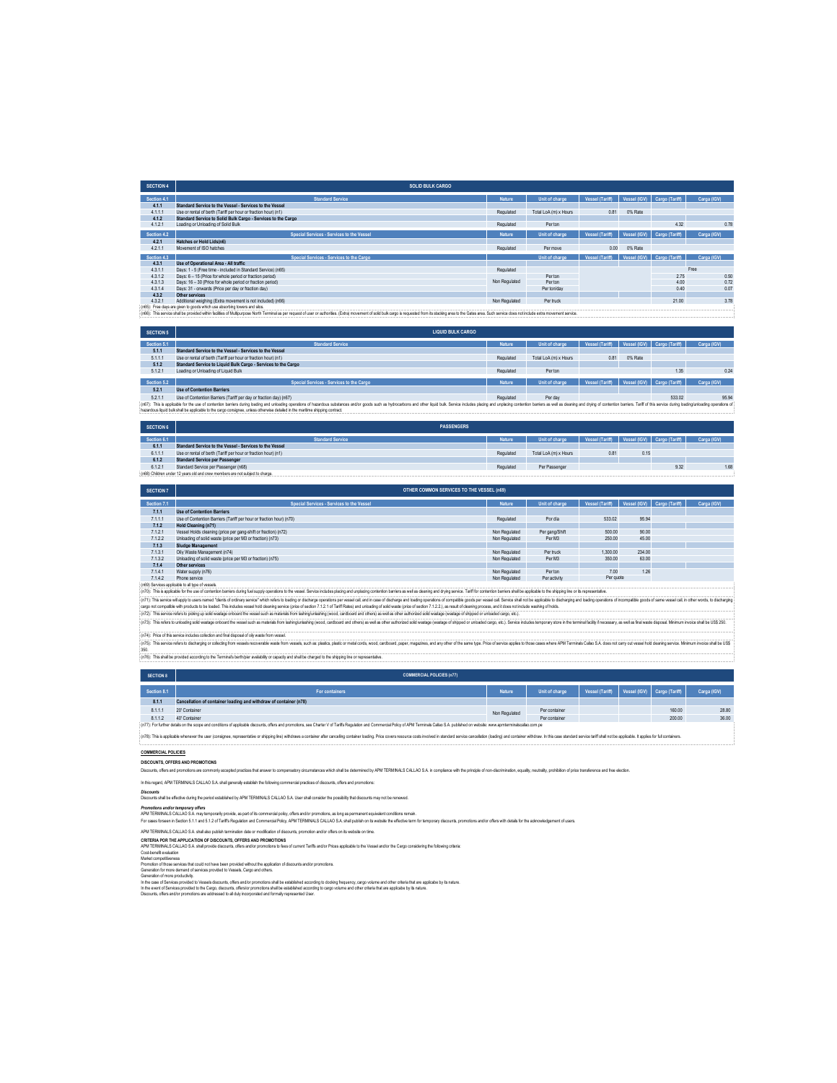| <b>SECTION 4</b> | <b>SOLID BULK CARGO</b>                                                               |               |                       |                 |              |                             |             |      |
|------------------|---------------------------------------------------------------------------------------|---------------|-----------------------|-----------------|--------------|-----------------------------|-------------|------|
| Section 4.1      | <b>Standard Service</b>                                                               | Nature        | Unit of charge        | Vessel (Tariff) |              | Vessel (IGV) Cargo (Tariff) | Carga (IGV) |      |
| 4.1.1            | Standard Service to the Vessel - Services to the Vessel                               |               |                       |                 |              |                             |             |      |
| 4.1.1.1          | Use or rental of berth (Tariff per hour or fraction hour) (n1)                        | Regulated     | Total LoA (m) x Hours | 0.81            | 0% Rate      |                             |             |      |
| 4.1.2            | Standard Service to Solid Bulk Cargo - Services to the Cargo                          |               |                       |                 |              |                             |             |      |
| 4.1.2.1          | Loading or Unloading of Solid Bulk                                                    | Regulated     | Per ton               |                 |              | 4.32                        |             | 0.78 |
| Section 4.2      | Special Services - Services to the Vessel                                             | Nature        | Unit of charge        | Vessel (Tariff) | Vessel (IGV) | Cargo (Tariff)              | Carga (IGV) |      |
|                  |                                                                                       |               |                       |                 |              |                             |             |      |
| 4.2.1            | Hatches or Hold Lids(n6)                                                              |               |                       |                 |              |                             |             |      |
| 4.2.1.1          | Movement of ISO hatches                                                               | Regulated     | Per move              | 0.00            | 0% Rate      |                             |             |      |
| Section 4.3      | Special Services - Services to the Cargo                                              |               | Unit of charge        | Vessel (Tariff) |              | Vessel (IGV) Cargo (Tariff) | Carga (IGV) |      |
| 4.3.1            | Use of Operational Area - All traffic                                                 |               |                       |                 |              |                             |             |      |
| 4.3.1.1          | Days: 1 - 5 (Free time - included in Standard Service) (n65)                          | Regulated     |                       |                 |              |                             | Free        |      |
| 4.3.1.2          | Days: 6 - 15 (Price for whole period or fraction period)                              |               | Per ton               |                 |              | 2.75                        |             | 0.50 |
| 4.3.1.3          | Days: 16 - 30 (Price for whole period or fraction period)                             | Non Regulated | Perton                |                 |              | 4.00                        |             | 0.72 |
| 4.3.1.4          | Days: 31 - onwards (Price per day or fraction day)                                    |               | Per ton/day           |                 |              | 0.40                        |             | 0.07 |
| 4.3.2            | Other services                                                                        |               |                       |                 |              |                             |             |      |
| 4.3.2.1          | Additional weighing (Extra movement is not included) (n66)                            | Non Regulated | Per truck             |                 |              | 21.00                       |             | 3.78 |
|                  | fulfille. For a day of your departmental coldate contribution of the control and also |               |                       |                 |              |                             |             |      |

**SECTION 5** (n65): Free days are glare to pods wholves absolving bases and slos.<br>(n66): This service shall be provided within facilities of Malthouse and home of express of useror authorities. (Extra) movement of sold bulk cargo is re **LIQUID BULK CARGO**

| Section 5.1 | <b>Standard Service</b>                                                                                                                                                                                                        | Vature    | Unit of charge        | Vessel (Tariff) |                             | Vessel (IGV) Cargo (Tariff) | Carga (IGV) |
|-------------|--------------------------------------------------------------------------------------------------------------------------------------------------------------------------------------------------------------------------------|-----------|-----------------------|-----------------|-----------------------------|-----------------------------|-------------|
| 5.1.1       | Standard Service to the Vessel - Services to the Vessel                                                                                                                                                                        |           |                       |                 |                             |                             |             |
| 5.1.1.1     | Use or rental of berth (Tariff per hour or fraction hour) (n1)                                                                                                                                                                 | Regulated | Total LoA (m) x Hours | 0.81            | 0% Rate                     |                             |             |
| 5.1.2       | Standard Service to Liquid Bulk Cargo - Services to the Cargo                                                                                                                                                                  |           |                       |                 |                             |                             |             |
| 5.1.2.1     | Loading or Unloading of Liquid Bulk                                                                                                                                                                                            | Regulated | Per ton               |                 |                             | 1.35                        | 0.24        |
|             |                                                                                                                                                                                                                                |           |                       |                 |                             |                             |             |
| Section 5.2 | Special Services - Services to the Cargo                                                                                                                                                                                       | Nature    | Unit of charge        | Vessel (Tariff) | Vessel (IGV) Cargo (Tariff) |                             | Carga (IGV) |
| 5.2.1       | <b>Use of Contention Barriers</b>                                                                                                                                                                                              |           |                       |                 |                             |                             |             |
| 5.2.1.1     | Use of Contention Barriers (Tariff per day or fraction day) (n67)                                                                                                                                                              | Regulated | Per day               |                 |                             | 533.02                      | 95.94       |
|             | (n67): This is applicable for the use of contention barriers during bading and unloading operations of hazardous substances and/or goods such as hydrocarbons and other louid buk. Service includes placing and unglecing cont |           |                       |                 |                             |                             |             |
|             | hazardous liquid bulk shall be applicable to the cargo consignee, unless otherwise detailed in the maritime shipping contract.                                                                                                 |           |                       |                 |                             |                             |             |
|             |                                                                                                                                                                                                                                |           |                       |                 |                             |                             |             |

|                                                                               | <b>SECTION 6</b> | <b>PASSENGERS</b>                                              |           |                       |                                             |      |      |             |
|-------------------------------------------------------------------------------|------------------|----------------------------------------------------------------|-----------|-----------------------|---------------------------------------------|------|------|-------------|
|                                                                               | Section 6.1      | <b>Standard Service</b>                                        | Nature    | Unit of charge        | Vessel (Tariff) Vessel (IGV) Cargo (Tariff) |      |      | Carga (IGV) |
|                                                                               | 6.1.1            | Standard Service to the Vessel - Services to the Vessel        |           |                       |                                             |      |      |             |
|                                                                               | 6.1.1.1          | Use or rental of berth (Tariff per hour or fraction hour) (n1) | Regulated | Total LoA (m) x Hours | 0.8                                         | 0.15 |      |             |
|                                                                               | 6.1.2            | <b>Standard Service per Passenger</b>                          |           |                       |                                             |      |      |             |
|                                                                               | 6.1.2.1          | Standard Service per Passenger (n68)                           | Regulated | Per Passenger         |                                             |      | 9.32 | 1.68        |
| (n68) Children under 12 years old and crew members are not subject to charge. |                  |                                                                |           |                       |                                             |      |      |             |
|                                                                               |                  |                                                                |           |                       |                                             |      |      |             |

| <b>SECTION 7</b>                                                                                                                                                                                                               | OTHER COMMON SERVICES TO THE VESSEL (n69)                           |               |                |                        |                             |  |             |  |
|--------------------------------------------------------------------------------------------------------------------------------------------------------------------------------------------------------------------------------|---------------------------------------------------------------------|---------------|----------------|------------------------|-----------------------------|--|-------------|--|
| Section 7.1                                                                                                                                                                                                                    | Special Services - Services to the Vessel                           | Nature        | Unit of charge | <b>Vessel (Tariff)</b> | Vessel (IGV) Cargo (Tariff) |  | Carga (IGV) |  |
| 7.1.1                                                                                                                                                                                                                          | <b>Use of Contention Barriers</b>                                   |               |                |                        |                             |  |             |  |
| 7.1.1.1                                                                                                                                                                                                                        | Use of Contention Barriers (Tariff per hour or fraction hour) (n70) | Regulated     | Por dia        | 533.02                 | 95.94                       |  |             |  |
| 7.1.2                                                                                                                                                                                                                          | Hold Cleaning (n71)                                                 |               |                |                        |                             |  |             |  |
| 7.1.2.1                                                                                                                                                                                                                        | Vessel Holds cleaning (price per gang-shift or fraction) (n72)      | Non Regulated | Per gang/Shift | 500.00                 | 90.00                       |  |             |  |
| 7.1.2.2                                                                                                                                                                                                                        | Unloading of solid waste (price per M3 or fraction) (n73)           | Non Regulated | Per M3         | 250.00                 | 45.00                       |  |             |  |
| 7.1.3                                                                                                                                                                                                                          | Sludge Management                                                   |               |                |                        |                             |  |             |  |
| 7.1.3.1                                                                                                                                                                                                                        | Oily Waste Management (n74)                                         | Non Regulated | Per truck      | 1.300.00               | 234.00                      |  |             |  |
| 7.1.3.2                                                                                                                                                                                                                        | Unloading of solid waste (price per M3 or fraction) (n75)           | Non Regulated | Per M3         | 350.00                 | 63.00                       |  |             |  |
| 7.1.4                                                                                                                                                                                                                          | Other services                                                      |               |                |                        |                             |  |             |  |
| 7.1.4.1                                                                                                                                                                                                                        | Water supply (n76)                                                  | Non Regulated | Per ton        | 7.00                   | 1.26                        |  |             |  |
| 7.1.4.2                                                                                                                                                                                                                        | Phone service                                                       | Non Regulated | Per activity   | Per quote              |                             |  |             |  |
| (n69) Services applicable to all type of vessels.                                                                                                                                                                              |                                                                     |               |                |                        |                             |  |             |  |
| (n70): This is applicable for the use of contention barriers during fuel supply operations to the yessel. Service includes placing and unplacing contention barriers as well as cleaning and drying service. Tariff for conten |                                                                     |               |                |                        |                             |  |             |  |

(n7): This isplake to the sed contributions among the lauply peralos to treas! Senio advisoring and uplot of onter barries and a distingent of the control of the contribution to explore the shipping and the control of the

(n74): Price of this service includes collection and final disposal of oily waste from vessel.

(o.76): This shall be provided according to the Terminal's berth/pier availability or capacity and shall be charged to the shipping line or representative. (n?): This serice refers to discharging or collecting ten wearent weares, such as platics, platic metal conditors, word, and our concert parameters, and any other other same type Price of series apples to the same wearend

| <b>SECTION 8</b>                                                                                                                                                                                                               | <b>COMMERCIAL POLICIES (n77)</b>                                  |               |                |                 |  |                             |             |  |  |
|--------------------------------------------------------------------------------------------------------------------------------------------------------------------------------------------------------------------------------|-------------------------------------------------------------------|---------------|----------------|-----------------|--|-----------------------------|-------------|--|--|
| Section 8.1                                                                                                                                                                                                                    | For containers                                                    | <b>Nature</b> | Unit of charge | Vessel (Tariff) |  | Vessel (IGV) Cargo (Tariff) | Carga (IGV) |  |  |
| 8.1.1                                                                                                                                                                                                                          | Cancellation of container loading and withdraw of container (n78) |               |                |                 |  |                             |             |  |  |
| 8.1.1.1                                                                                                                                                                                                                        | 20" Container                                                     | Non Regulated | Per container  |                 |  | 160.00                      | 28.80       |  |  |
| 8112                                                                                                                                                                                                                           | 40° Container                                                     |               | Per container  |                 |  | 200.00                      | 36.00       |  |  |
| : (n77): For further details on the scope and conditions of applicable discounts, offers and promotions, see Charter V of Tariffs Repulation and Commercial Policy of APM Terminals Callap S.A. published on website: www.apml |                                                                   |               |                |                 |  |                             |             |  |  |
| : (n78): This is applicable whenever the user (consignee, representative or shipping line) withdraws a container after cancelling container hading. Price covers resource costs involved in standard service cancellation (loa |                                                                   |               |                |                 |  |                             |             |  |  |

(n78): This is applicable whenever the user (consignee, representative or shipping line) withdraws a container after cancelling container bading. Price covers resource costs involved in standard service cancellation (badin

### **COMMERCIAL POLICIES DISCOUNTS, OFFERS AND PROMOTIONS**

Discounts, offers and promotions are commonly accepted practices that answer to compensatory circumstances which shall be determined by APM TERMINALS CALLAO S.A. in compliance with the principle of non-discrimination, equa

In this regard, APM TERMINALS CALLAO S.A. shall generally establish the following commercial practices of discounts, offers and promotions:

*Discounts* Discounts shall be effective during the period established by APM TERMINALS CALLAO S.A. User shall consider the possibility that discounts may not be renewed.

Pomotions and/or temponry offers<br>APM TERMINA SCALIO SA majoranty provide, as part of is commercial policy fores and or pomotions, as long as permanent equivalent condition sometime main.<br>For cases foreaen is Secured 2.2 an

APM TERMINALS CALLAO S.A. shall also publish termination date or modification of discounts, promotion and/or offers on its website on time.

CRITERIA POR THE APPLICATION OF DISCOURTS, OFFERS AND PROMOTONS<br>Custevent enduation<br>Liberant enduation<br>Glavende refundion<br>Glavendery developments<br>Glavender of more productive,<br>Glavender of more productive,<br>Glavender of mor

In the case of Services provided to Vessels decounts, offers and/or promotions shall be established according to docking frequency, cargo volume and other criteria that are applicabe by its nature.<br>In the nend of Services